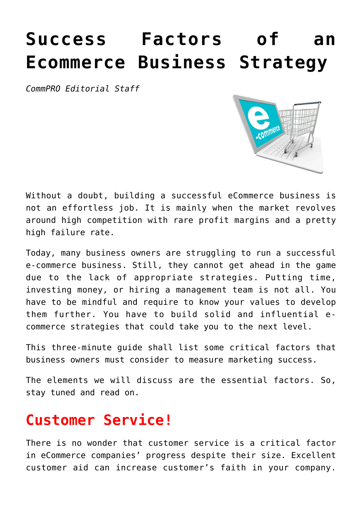# **[Success Factors of an](https://www.commpro.biz/success-factors-of-ecommerce-business-strategy/) [Ecommerce Business Strategy](https://www.commpro.biz/success-factors-of-ecommerce-business-strategy/)**

*[CommPRO](https://www.commpro.biz/) Editorial Staff*



Without a doubt, building a successful eCommerce business is not an effortless job. It is mainly when the market revolves around high competition with rare profit margins and a pretty high failure rate.

Today, many business owners are struggling to run a successful e-commerce business. Still, they cannot get ahead in the game due to the lack of appropriate strategies. Putting time, investing money, or hiring a management team is not all. You have to be mindful and require to know your values to develop them further. You have to build solid and influential ecommerce strategies that could take you to the next level.

This three-minute guide shall list some critical factors that business owners must consider to measure [marketing](https://www.commpro.biz/marketing-section/) success.

The elements we will discuss are the essential factors. So, stay tuned and read on.

#### **Customer Service!**

There is no wonder that customer service is a critical factor in [eCommerce](https://ecommerceguide.com/guides/what-is-ecommerce/) companies' progress despite their size. Excellent customer aid can increase customer's faith in your company.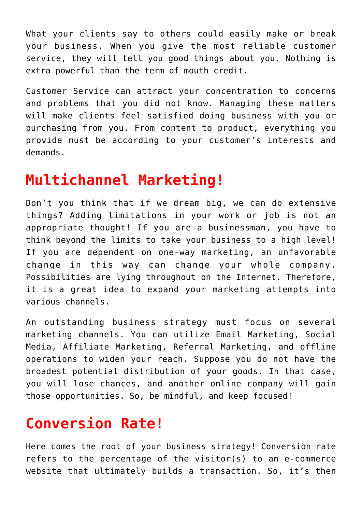What your clients say to others could easily make or break your business. When you give the most reliable customer service, they will tell you good things about you. Nothing is extra powerful than the term of mouth credit.

Customer Service can attract your concentration to concerns and problems that you did not know. Managing these matters will make clients feel satisfied doing business with you or purchasing from you. From content to product, everything you provide must be according to your customer's interests and demands.

#### **Multichannel Marketing!**

Don't you think that if we dream big, we can do extensive things? Adding limitations in your work or job is not an appropriate thought! If you are a businessman, you have to think beyond the limits to take your business to a high level! If you are dependent on one-way marketing, an unfavorable change in this way can change your whole company. Possibilities are lying throughout on the Internet. Therefore, it is a great idea to expand your marketing attempts into various channels.

An outstanding business strategy must focus on several marketing channels. You can utilize Email Marketing, Social Media, Affiliate Marketing, Referral Marketing, and offline operations to widen your reach. Suppose you do not have the broadest potential distribution of your goods. In that case, you will lose chances, and another online company will gain those opportunities. So, be mindful, and keep focused!

#### **Conversion Rate!**

Here comes the root of your business strategy! Conversion rate refers to the percentage of the visitor(s) to an e-commerce website that ultimately builds a transaction. So, it's then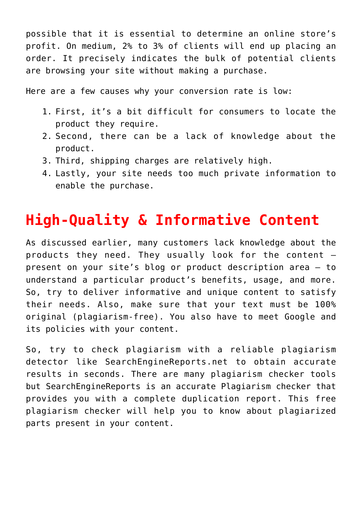possible that it is essential to determine an online store's profit. On medium, 2% to 3% of clients will end up placing an order. It precisely indicates the bulk of potential clients are browsing your site without making a purchase.

Here are a few causes why your conversion rate is low:

- 1. First, it's a bit difficult for consumers to locate the product they require.
- 2. Second, there can be a lack of knowledge about the product.
- 3. Third, shipping charges are relatively high.
- 4. Lastly, your site needs too much private information to enable the purchase.

### **High-Quality & Informative Content**

As discussed earlier, many customers lack knowledge about the products they need. They usually look for the content – present on your site's blog or product description area – to understand a particular product's benefits, usage, and more. So, try to deliver informative and unique content to satisfy their needs. Also, make sure that your text must be 100% original (plagiarism-free). You also have to meet Google and its policies with your content.

So, try to [check plagiarism](https://searchenginereports.net/plagiarism-checker) with a reliable plagiarism detector like SearchEngineReports.net to obtain accurate results in seconds. There are many plagiarism checker tools but SearchEngineReports is an accurate Plagiarism checker that provides you with a complete duplication report. This free plagiarism checker will help you to know about plagiarized parts present in your content.